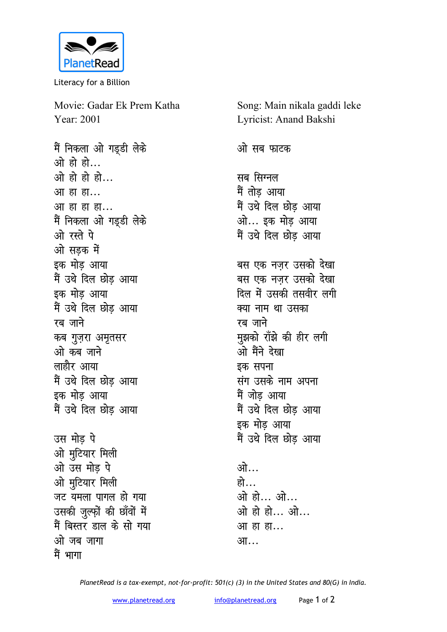

Literacy for a Billion

Movie: Gadar Ek Prem Katha Year: 2001

मैं निकला ओ गड्डी लेके ओ हो हो... ओ हो हो हो... आ हा हा... आ हा हा हा... मैं निकला ओ गड्डी लेके ओ रस्ते पे ओ सडक में इक मोड़ आया मैं उथे दिल छोड आया इक मोड़ आया मैं उथे दिल छोड आया रब जाने कब गुज़रा अमृतसर ओ कब जाने लाहौर आया मैं उथे दिल छोड आया इक मोड आया मैं उथे दिल छोड आया उस मोड पे ओ मुटियार मिली ओ उस मोड पे ओ मुटियार मिली जट यमला पागल हो गया उसकी जुल्फ़ों की छाँवों में मैं बिस्तर डाल के सो गया ओ जब जागा

मैं भागा

Song: Main nikala gaddi leke Lyricist: Anand Bakshi ओ सब फाटक सब सिग्नल मैं तोड आया मैं उथे दिल छोड़ आया ओ... इक मोड आया मैं उथे दिल छोड़ आया बस एक नजर उसको देखा बस एक नजर उसको देखा दिल में उसकी तसवीर लगी क्या नाम था उसका रब जाने मुझको राँझे की हीर लगी ओ मैंने देखा इक सपना संग उसके नाम अपना मैं जोड आया मैं उथे दिल छोड आया इक मोड़ आया मैं उथे दिल छोड आया ोगो हो… ओ हो... ओ... ओ हो हो… ओ…

आ हा हा... आ…

PlanetRead is a tax-exempt, not-for-profit: 501(c) (3) in the United States and 80(G) in India.